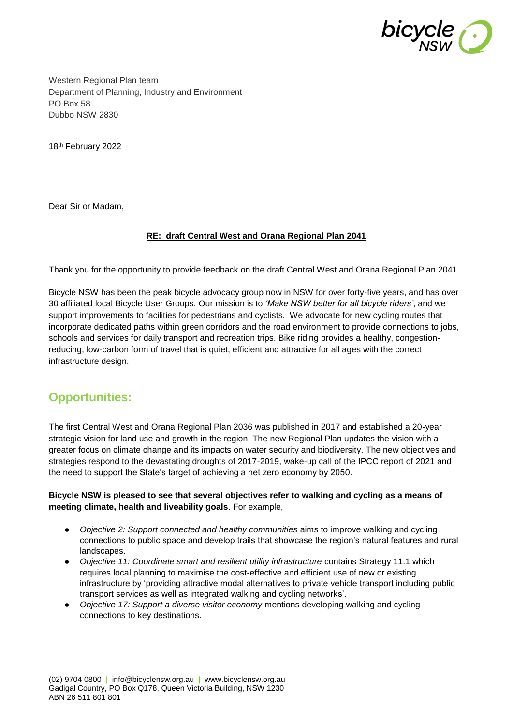

Western Regional Plan team Department of Planning, Industry and Environment PO Box 58 Dubbo NSW 2830

18th February 2022

Dear Sir or Madam,

# **RE: draft Central West and Orana Regional Plan 2041**

Thank you for the opportunity to provide feedback on the draft Central West and Orana Regional Plan 2041.

Bicycle NSW has been the peak bicycle advocacy group now in NSW for over forty-five years, and has over 30 affiliated local Bicycle User Groups. Our mission is to *'Make NSW better for all bicycle riders'*, and we support improvements to facilities for pedestrians and cyclists. We advocate for new cycling routes that incorporate dedicated paths within green corridors and the road environment to provide connections to jobs, schools and services for daily transport and recreation trips. Bike riding provides a healthy, congestionreducing, low-carbon form of travel that is quiet, efficient and attractive for all ages with the correct infrastructure design.

# **Opportunities:**

The first Central West and Orana Regional Plan 2036 was published in 2017 and established a 20-year strategic vision for land use and growth in the region. The new Regional Plan updates the vision with a greater focus on climate change and its impacts on water security and biodiversity. The new objectives and strategies respond to the devastating droughts of 2017-2019, wake-up call of the IPCC report of 2021 and the need to support the State's target of achieving a net zero economy by 2050.

# **Bicycle NSW is pleased to see that several objectives refer to walking and cycling as a means of meeting climate, health and liveability goals**. For example,

- *Objective 2: Support connected and healthy communities* aims to improve walking and cycling connections to public space and develop trails that showcase the region's natural features and rural landscapes.
- *Objective 11: Coordinate smart and resilient utility infrastructure* contains Strategy 11.1 which requires local planning to maximise the cost-effective and efficient use of new or existing infrastructure by 'providing attractive modal alternatives to private vehicle transport including public transport services as well as integrated walking and cycling networks'.
- *Objective 17: Support a diverse visitor economy* mentions developing walking and cycling connections to key destinations.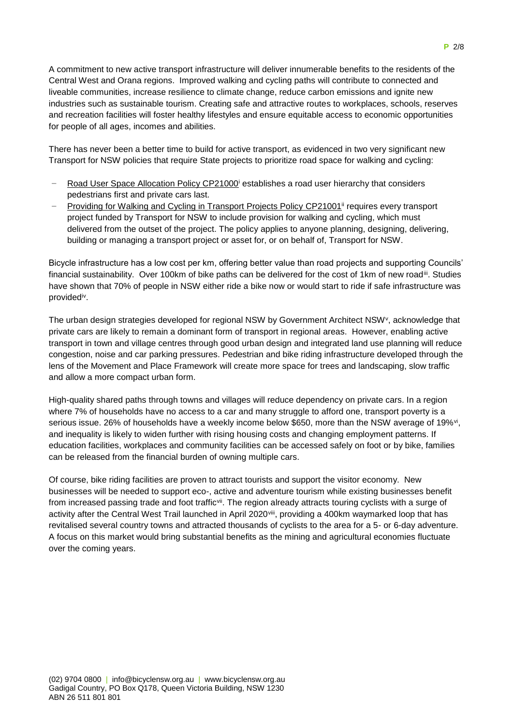A commitment to new active transport infrastructure will deliver innumerable benefits to the residents of the Central West and Orana regions. Improved walking and cycling paths will contribute to connected and liveable communities, increase resilience to climate change, reduce carbon emissions and ignite new industries such as sustainable tourism. Creating safe and attractive routes to workplaces, schools, reserves and recreation facilities will foster healthy lifestyles and ensure equitable access to economic opportunities for people of all ages, incomes and abilities.

There has never been a better time to build for active transport, as evidenced in two very significant new Transport for NSW policies that require State projects to prioritize road space for walking and cycling:

- Road User Space Allocation Policy CP21000<sup>i</sup> establishes a road user hierarchy that considers pedestrians first and private cars last.
- Providing for Walking and Cycling in Transport Projects Policy CP21001<sup>ii</sup> requires every transport project funded by Transport for NSW to include provision for walking and cycling, which must delivered from the outset of the project. The policy applies to anyone planning, designing, delivering, building or managing a transport project or asset for, or on behalf of, Transport for NSW.

Bicycle infrastructure has a low cost per km, offering better value than road projects and supporting Councils' financial sustainability. Over 100km of bike paths can be delivered for the cost of 1km of new roadiil. Studies have shown that 70% of people in NSW either ride a bike now or would start to ride if safe infrastructure was provided<sup>iv</sup>.

The urban design strategies developed for regional NSW by Government Architect NSW<sup>v</sup>, acknowledge that private cars are likely to remain a dominant form of transport in regional areas. However, enabling active transport in town and village centres through good urban design and integrated land use planning will reduce congestion, noise and car parking pressures. Pedestrian and bike riding infrastructure developed through the lens of the Movement and Place Framework will create more space for trees and landscaping, slow traffic and allow a more compact urban form.

High-quality shared paths through towns and villages will reduce dependency on private cars. In a region where 7% of households have no access to a car and many struggle to afford one, transport poverty is a serious issue. 26% of households have a weekly income below \$650, more than the NSW average of 19%<sup>vi</sup>, and inequality is likely to widen further with rising housing costs and changing employment patterns. If education facilities, workplaces and community facilities can be accessed safely on foot or by bike, families can be released from the financial burden of owning multiple cars.

Of course, bike riding facilities are proven to attract tourists and support the visitor economy. New businesses will be needed to support eco-, active and adventure tourism while existing businesses benefit from increased passing trade and foot traffic<sup>vii</sup>. The region already attracts touring cyclists with a surge of activity after the Central West Trail launched in April 2020<sup>viii</sup>, providing a 400km waymarked loop that has revitalised several country towns and attracted thousands of cyclists to the area for a 5- or 6-day adventure. A focus on this market would bring substantial benefits as the mining and agricultural economies fluctuate over the coming years.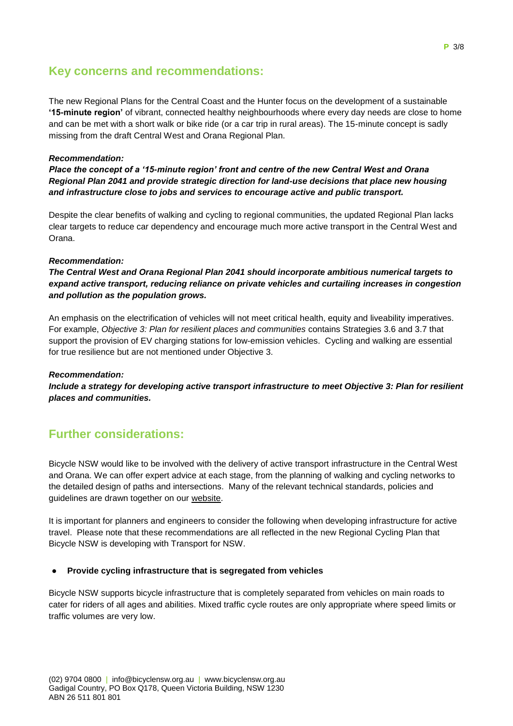# **Key concerns and recommendations:**

The new Regional Plans for the Central Coast and the Hunter focus on the development of a sustainable **'15-minute region'** of vibrant, connected healthy neighbourhoods where every day needs are close to home and can be met with a short walk or bike ride (or a car trip in rural areas). The 15-minute concept is sadly missing from the draft Central West and Orana Regional Plan.

# *Recommendation:*

*Place the concept of a '15-minute region' front and centre of the new Central West and Orana Regional Plan 2041 and provide strategic direction for land-use decisions that place new housing and infrastructure close to jobs and services to encourage active and public transport.*

Despite the clear benefits of walking and cycling to regional communities, the updated Regional Plan lacks clear targets to reduce car dependency and encourage much more active transport in the Central West and Orana.

#### *Recommendation:*

*The Central West and Orana Regional Plan 2041 should incorporate ambitious numerical targets to expand active transport, reducing reliance on private vehicles and curtailing increases in congestion and pollution as the population grows.*

An emphasis on the electrification of vehicles will not meet critical health, equity and liveability imperatives. For example, *Objective 3: Plan for resilient places and communities* contains Strategies 3.6 and 3.7 that support the provision of EV charging stations for low-emission vehicles. Cycling and walking are essential for true resilience but are not mentioned under Objective 3.

#### *Recommendation:*

*Include a strategy for developing active transport infrastructure to meet Objective 3: Plan for resilient places and communities.*

# **Further considerations:**

Bicycle NSW would like to be involved with the delivery of active transport infrastructure in the Central West and Orana. We can offer expert advice at each stage, from the planning of walking and cycling networks to the detailed design of paths and intersections. Many of the relevant technical standards, policies and guidelines are drawn together on our [website.](https://bicyclensw.org.au/rays-corner/)

It is important for planners and engineers to consider the following when developing infrastructure for active travel. Please note that these recommendations are all reflected in the new Regional Cycling Plan that Bicycle NSW is developing with Transport for NSW.

# **Provide cycling infrastructure that is segregated from vehicles**

Bicycle NSW supports bicycle infrastructure that is completely separated from vehicles on main roads to cater for riders of all ages and abilities. Mixed traffic cycle routes are only appropriate where speed limits or traffic volumes are very low.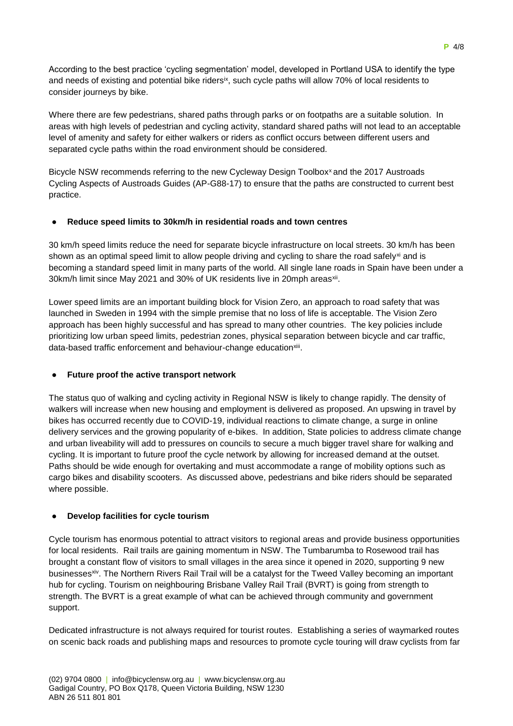According to the best practice 'cycling segmentation' model, developed in Portland USA to identify the type and needs of existing and potential bike ridersix, such cycle paths will allow 70% of local residents to consider journeys by bike.

Where there are few pedestrians, shared paths through parks or on footpaths are a suitable solution. In areas with high levels of pedestrian and cycling activity, standard shared paths will not lead to an acceptable level of amenity and safety for either walkers or riders as conflict occurs between different users and separated cycle paths within the road environment should be considered.

Bicycle NSW recommends referring to the new Cycleway Design Toolbox<sup>x</sup> and the 2017 Austroads Cycling Aspects of Austroads Guides (AP-G88-17) to ensure that the paths are constructed to current best practice.

# ● **Reduce speed limits to 30km/h in residential roads and town centres**

30 km/h speed limits reduce the need for separate bicycle infrastructure on local streets. 30 km/h has been shown as an optimal speed limit to allow people driving and cycling to share the road safely<sup>xi</sup> and is becoming a standard speed limit in many parts of the world. All single lane roads in Spain have been under a 30km/h limit since May 2021 and 30% of UK residents live in 20mph areas<sup>xii</sup>.

Lower speed limits are an important building block for Vision Zero, an approach to road safety that was launched in Sweden in 1994 with the simple premise that no loss of life is acceptable. The Vision Zero approach has been highly successful and has spread to many other countries. The key policies include prioritizing low urban speed limits, pedestrian zones, physical separation between bicycle and car traffic, data-based traffic enforcement and behaviour-change education<sup>xiii</sup>.

#### **Future proof the active transport network**

The status quo of walking and cycling activity in Regional NSW is likely to change rapidly. The density of walkers will increase when new housing and employment is delivered as proposed. An upswing in travel by bikes has occurred recently due to COVID-19, individual reactions to climate change, a surge in online delivery services and the growing popularity of e-bikes. In addition, State policies to address climate change and urban liveability will add to pressures on councils to secure a much bigger travel share for walking and cycling. It is important to future proof the cycle network by allowing for increased demand at the outset. Paths should be wide enough for overtaking and must accommodate a range of mobility options such as cargo bikes and disability scooters. As discussed above, pedestrians and bike riders should be separated where possible.

# ● **Develop facilities for cycle tourism**

Cycle tourism has enormous potential to attract visitors to regional areas and provide business opportunities for local residents. Rail trails are gaining momentum in NSW. The Tumbarumba to Rosewood trail has brought a constant flow of visitors to small villages in the area since it opened in 2020, supporting 9 new businesses<sup>xiv</sup>. The Northern Rivers Rail Trail will be a catalyst for the Tweed Valley becoming an important hub for cycling. Tourism on neighbouring [Brisbane Valley Rail Trail](https://www.tmr.qld.gov.au/bvrt) (BVRT) is going from strength to strength. The BVRT is a great example of what can be achieved through community and government support.

Dedicated infrastructure is not always required for tourist routes. Establishing a series of waymarked routes on scenic back roads and publishing maps and resources to promote cycle touring will draw cyclists from far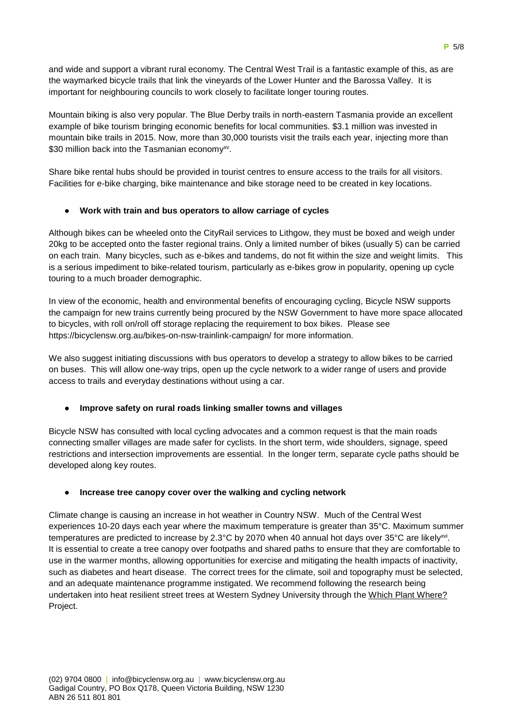and wide and support a vibrant rural economy. The Central West Trail is a fantastic example of this, as are the waymarked bicycle trails that link the vineyards of the Lower Hunter and the Barossa Valley. It is important for neighbouring councils to work closely to facilitate longer touring routes.

Mountain biking is also very popular. The Blue Derby trails in north-eastern Tasmania provide an excellent example of bike tourism bringing economic benefits for local communities. \$3.1 million was invested in mountain bike trails in 2015. Now, more than 30,000 tourists visit the trails each year, injecting more than \$30 million back into the Tasmanian economy<sup>xv</sup>.

Share bike rental hubs should be provided in tourist centres to ensure access to the trails for all visitors. Facilities for e-bike charging, bike maintenance and bike storage need to be created in key locations.

# ● **Work with train and bus operators to allow carriage of cycles**

Although bikes can be wheeled onto the CityRail services to Lithgow, they must be boxed and weigh under 20kg to be accepted onto the faster regional trains. Only a limited number of bikes (usually 5) can be carried on each train. Many bicycles, such as e-bikes and tandems, do not fit within the size and weight limits. This is a serious impediment to bike-related tourism, particularly as e-bikes grow in popularity, opening up cycle touring to a much broader demographic.

In view of the economic, health and environmental benefits of encouraging cycling, Bicycle NSW supports the campaign for new trains currently being procured by the NSW Government to have more space allocated to bicycles, with roll on/roll off storage replacing the requirement to box bikes. Please see <https://bicyclensw.org.au/bikes-on-nsw-trainlink-campaign/> for more information.

We also suggest initiating discussions with bus operators to develop a strategy to allow bikes to be carried on buses. This will allow one-way trips, open up the cycle network to a wider range of users and provide access to trails and everyday destinations without using a car.

#### ● **Improve safety on rural roads linking smaller towns and villages**

Bicycle NSW has consulted with local cycling advocates and a common request is that the main roads connecting smaller villages are made safer for cyclists. In the short term, wide shoulders, signage, speed restrictions and intersection improvements are essential. In the longer term, separate cycle paths should be developed along key routes.

#### ● **Increase tree canopy cover over the walking and cycling network**

Climate change is causing an increase in hot weather in Country NSW. Much of the Central West experiences 10-20 days each year where the maximum temperature is greater than 35°C. Maximum summer temperatures are predicted to increase by 2.3°C by 2070 when 40 annual hot days over 35°C are likely<sup>xvi</sup>. It is essential to create a tree canopy over footpaths and shared paths to ensure that they are comfortable to use in the warmer months, allowing opportunities for exercise and mitigating the health impacts of inactivity, such as diabetes and heart disease. The correct trees for the climate, soil and topography must be selected, and an adequate maintenance programme instigated. We recommend following the research being undertaken into heat resilient street trees at Western Sydney University through the [Which Plant Where?](https://www.westernsydney.edu.au/environmental_sustainability/home/living_labs/which_plant_where) Project.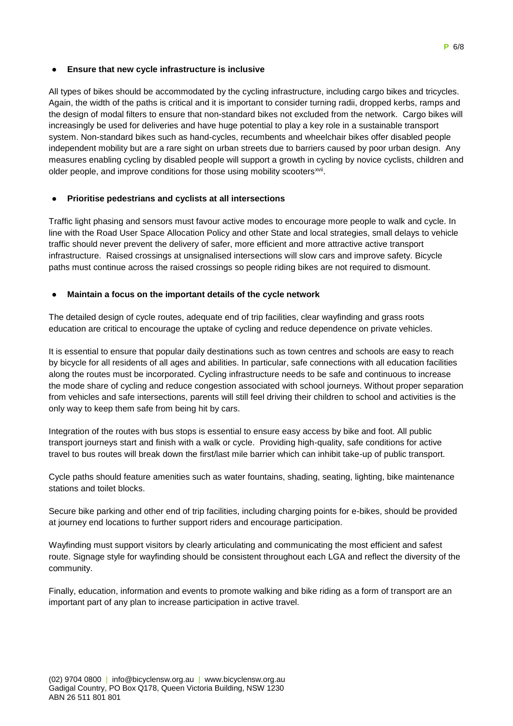# ● **Ensure that new cycle infrastructure is inclusive**

All types of bikes should be accommodated by the cycling infrastructure, including cargo bikes and tricycles. Again, the width of the paths is critical and it is important to consider turning radii, dropped kerbs, ramps and the design of modal filters to ensure that non-standard bikes not excluded from the network. Cargo bikes will increasingly be used for deliveries and have huge potential to play a key role in a sustainable transport system. Non-standard bikes such as hand-cycles, recumbents and wheelchair bikes offer disabled people independent mobility but are a rare sight on urban streets due to barriers caused by poor urban design. Any measures enabling cycling by disabled people will support a growth in cycling by novice cyclists, children and older people, and improve conditions for those using mobility scooters<sup>xvii</sup>.

# ● **Prioritise pedestrians and cyclists at all intersections**

Traffic light phasing and sensors must favour active modes to encourage more people to walk and cycle. In line with the Road User Space Allocation Policy and other State and local strategies, small delays to vehicle traffic should never prevent the delivery of safer, more efficient and more attractive active transport infrastructure. Raised crossings at unsignalised intersections will slow cars and improve safety. Bicycle paths must continue across the raised crossings so people riding bikes are not required to dismount.

# **Maintain a focus on the important details of the cycle network**

The detailed design of cycle routes, adequate end of trip facilities, clear wayfinding and grass roots education are critical to encourage the uptake of cycling and reduce dependence on private vehicles.

It is essential to ensure that popular daily destinations such as town centres and schools are easy to reach by bicycle for all residents of all ages and abilities. In particular, safe connections with all education facilities along the routes must be incorporated. Cycling infrastructure needs to be safe and continuous to increase the mode share of cycling and reduce congestion associated with school journeys. Without proper separation from vehicles and safe intersections, parents will still feel driving their children to school and activities is the only way to keep them safe from being hit by cars.

Integration of the routes with bus stops is essential to ensure easy access by bike and foot. All public transport journeys start and finish with a walk or cycle. Providing high-quality, safe conditions for active travel to bus routes will break down the first/last mile barrier which can inhibit take-up of public transport.

Cycle paths should feature amenities such as water fountains, shading, seating, lighting, bike maintenance stations and toilet blocks.

Secure bike parking and other end of trip facilities, including charging points for e-bikes, should be provided at journey end locations to further support riders and encourage participation.

Wayfinding must support visitors by clearly articulating and communicating the most efficient and safest route. Signage style for wayfinding should be consistent throughout each LGA and reflect the diversity of the community.

Finally, education, information and events to promote walking and bike riding as a form of transport are an important part of any plan to increase participation in active travel.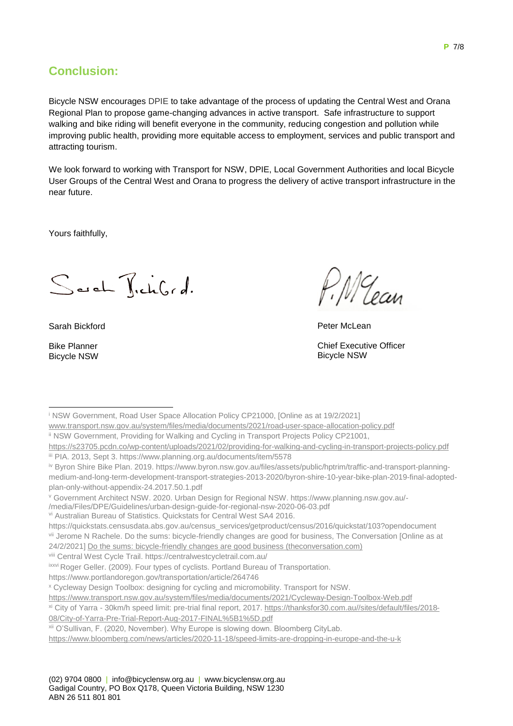# **Conclusion:**

Bicycle NSW encourages DPIE to take advantage of the process of updating the Central West and Orana Regional Plan to propose game-changing advances in active transport. Safe infrastructure to support walking and bike riding will benefit everyone in the community, reducing congestion and pollution while improving public health, providing more equitable access to employment, services and public transport and attracting tourism.

We look forward to working with Transport for NSW, DPIE, Local Government Authorities and local Bicycle User Groups of the Central West and Orana to progress the delivery of active transport infrastructure in the near future.

Yours faithfully,

Sach TickGrd.

Sarah Bickford

Bike Planner Bicycle NSW

: MU ean

Peter McLean

Chief Executive Officer Bicycle NSW

<sup>i</sup> NSW Government, Road User Space Allocation Policy CP21000, [Online as at 19/2/2021] 1

[www.transport.nsw.gov.au/system/files/media/documents/2021/road-user-space-allocation-policy.pdf](http://www.transport.nsw.gov.au/system/files/media/documents/2021/road-user-space-allocation-policy.pdf)

ii NSW Government, Providing for Walking and Cycling in Transport Projects Policy CP21001,

<sup>v</sup> Government Architect NSW. 2020. Urban Design for Regional NSW. https://www.planning.nsw.gov.au/-

/media/Files/DPE/Guidelines/urban-design-guide-for-regional-nsw-2020-06-03.pdf

https://quickstats.censusdata.abs.gov.au/census\_services/getproduct/census/2016/quickstat/103?opendocument vii [Jerome N Rachele.](https://theconversation.com/profiles/jerome-n-rachele-251972) Do the sums: bicycle-friendly changes are good for business, The Conversation [Online as at

24/2/2021[\] Do the sums: bicycle-friendly changes are good business \(theconversation.com\)](https://theconversation.com/do-the-sums-bicycle-friendly-changes-are-good-business-58213)

viii Central West Cycle Trail. https://centralwestcycletrail.com.au/

https://www.portlandoregon.gov/transportation/article/264746

<sup>x</sup> Cycleway Design Toolbox: designing for cycling and micromobility. Transport for NSW.

<https://www.transport.nsw.gov.au/system/files/media/documents/2021/Cycleway-Design-Toolbox-Web.pdf>

<https://www.bloomberg.com/news/articles/2020-11-18/speed-limits-are-dropping-in-europe-and-the-u-k>

<https://s23705.pcdn.co/wp-content/uploads/2021/02/providing-for-walking-and-cycling-in-transport-projects-policy.pdf> iii PIA. 2013, Sept 3. https://www.planning.org.au/documents/item/5578

iv Byron Shire Bike Plan. 2019. https://www.byron.nsw.gov.au/files/assets/public/hptrim/traffic-and-transport-planningmedium-and-long-term-development-transport-strategies-2013-2020/byron-shire-10-year-bike-plan-2019-final-adoptedplan-only-without-appendix-24.2017.50.1.pdf

vi Australian Bureau of Statistics. Quickstats for Central West SA4 2016.

**ixxvi Roger Geller. (2009). Four types of cyclists. Portland Bureau of Transportation.** 

xi City of Yarra - 30km/h speed limit: pre-trial final report, 2017. [https://thanksfor30.com.au//sites/default/files/2018-](https://thanksfor30.com.au/sites/default/files/2018-08/City-of-Yarra-Pre-Trial-Report-Aug-2017-FINAL%5B1%5D.pdf) [08/City-of-Yarra-Pre-Trial-Report-Aug-2017-FINAL%5B1%5D.pdf](https://thanksfor30.com.au/sites/default/files/2018-08/City-of-Yarra-Pre-Trial-Report-Aug-2017-FINAL%5B1%5D.pdf)

xii O'Sullivan, F. (2020, November). Why Europe is slowing down. Bloomberg CityLab.